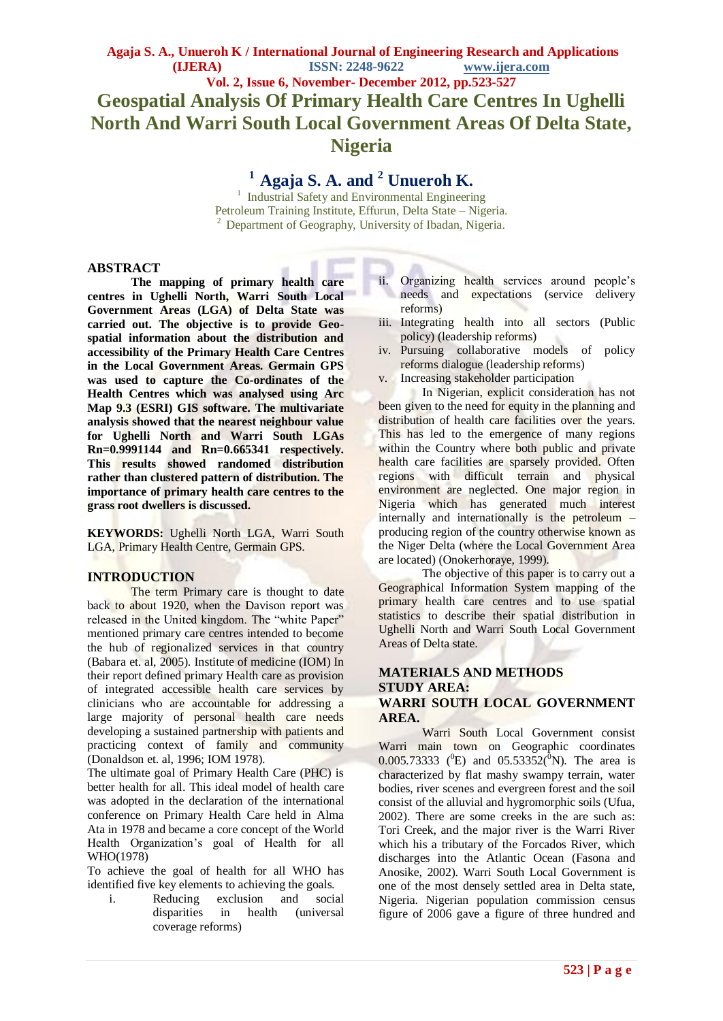## **Vol. 2, Issue 6, November- December 2012, pp.523-527 Geospatial Analysis Of Primary Health Care Centres In Ughelli North And Warri South Local Government Areas Of Delta State, Nigeria**

# **<sup>1</sup>Agaja S. A. and <sup>2</sup> Unueroh K.**

<sup>1</sup> Industrial Safety and Environmental Engineering Petroleum Training Institute, Effurun, Delta State – Nigeria.  $2$  Department of Geography, University of Ibadan, Nigeria.

#### **ABSTRACT**

**The mapping of primary health care centres in Ughelli North, Warri South Local Government Areas (LGA) of Delta State was carried out. The objective is to provide Geospatial information about the distribution and accessibility of the Primary Health Care Centres in the Local Government Areas. Germain GPS was used to capture the Co-ordinates of the Health Centres which was analysed using Arc Map 9.3 (ESRI) GIS software. The multivariate analysis showed that the nearest neighbour value for Ughelli North and Warri South LGAs Rn=0.9991144 and Rn=0.665341 respectively. This results showed randomed distribution rather than clustered pattern of distribution. The importance of primary health care centres to the grass root dwellers is discussed.** 

**KEYWORDS:** Ughelli North LGA, Warri South LGA, Primary Health Centre, Germain GPS.

#### **INTRODUCTION**

The term Primary care is thought to date back to about 1920, when the Davison report was released in the United kingdom. The "white Paper" mentioned primary care centres intended to become the hub of regionalized services in that country (Babara et. al, 2005). Institute of medicine (IOM) In their report defined primary Health care as provision of integrated accessible health care services by clinicians who are accountable for addressing a large majority of personal health care needs developing a sustained partnership with patients and practicing context of family and community (Donaldson et. al, 1996; IOM 1978).

The ultimate goal of Primary Health Care (PHC) is better health for all. This ideal model of health care was adopted in the declaration of the international conference on Primary Health Care held in Alma Ata in 1978 and became a core concept of the World Health Organization's goal of Health for all WHO(1978)

To achieve the goal of health for all WHO has identified five key elements to achieving the goals.

i. Reducing exclusion and social disparities in health (universal coverage reforms)

- ii. Organizing health services around people's needs and expectations (service delivery reforms)
- iii. Integrating health into all sectors (Public policy) (leadership reforms)
- iv. Pursuing collaborative models of policy reforms dialogue (leadership reforms)
- v. Increasing stakeholder participation

In Nigerian, explicit consideration has not been given to the need for equity in the planning and distribution of health care facilities over the years. This has led to the emergence of many regions within the Country where both public and private health care facilities are sparsely provided. Often regions with difficult terrain and physical environment are neglected. One major region in Nigeria which has generated much interest internally and internationally is the petroleum – producing region of the country otherwise known as the Niger Delta (where the Local Government Area are located) (Onokerhoraye, 1999).

The objective of this paper is to carry out a Geographical Information System mapping of the primary health care centres and to use spatial statistics to describe their spatial distribution in Ughelli North and Warri South Local Government Areas of Delta state.

#### **MATERIALS AND METHODS STUDY AREA: WARRI SOUTH LOCAL GOVERNMENT AREA.**

Warri South Local Government consist Warri main town on Geographic coordinates 0.005.73333 ( $^{0}E$ ) and 05.53352( $^{0}N$ ). The area is characterized by flat mashy swampy terrain, water bodies, river scenes and evergreen forest and the soil consist of the alluvial and hygromorphic soils (Ufua, 2002). There are some creeks in the are such as: Tori Creek, and the major river is the Warri River which his a tributary of the Forcados River, which discharges into the Atlantic Ocean (Fasona and Anosike, 2002). Warri South Local Government is one of the most densely settled area in Delta state, Nigeria. Nigerian population commission census figure of 2006 gave a figure of three hundred and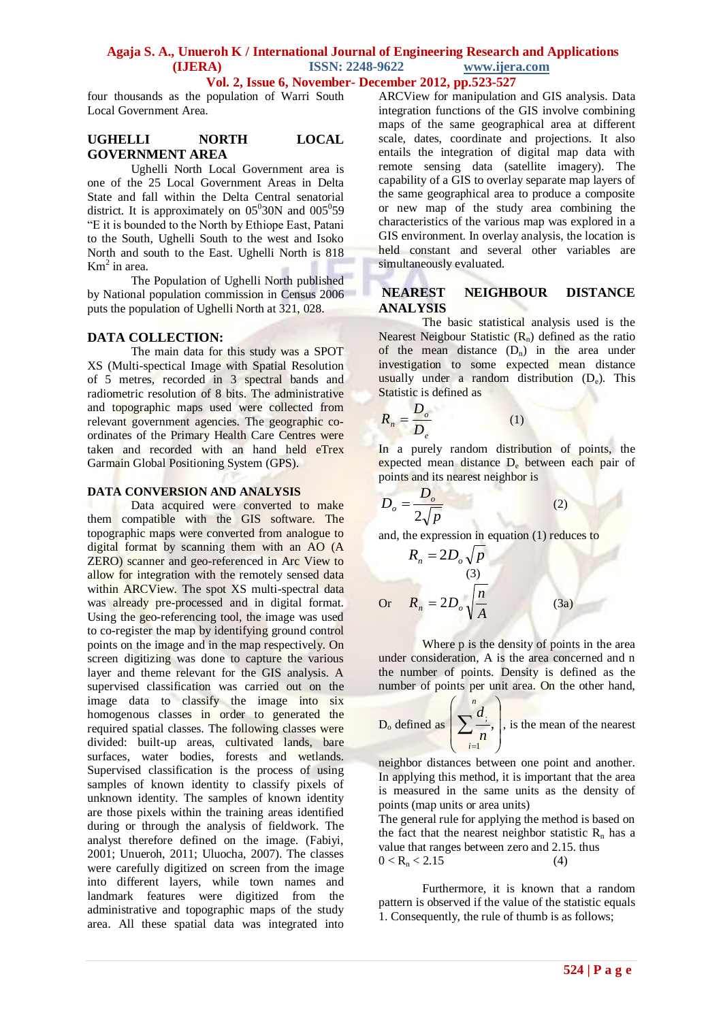### **Agaja S. A., Unueroh K / International Journal of Engineering Research and Applications (IJERA) ISSN: 2248-9622 www.ijera.com**

**Vol. 2, Issue 6, November- December 2012, pp.523-527**

four thousands as the population of Warri South Local Government Area.

#### **UGHELLI NORTH LOCAL GOVERNMENT AREA**

Ughelli North Local Government area is one of the 25 Local Government Areas in Delta State and fall within the Delta Central senatorial district. It is approximately on  $0.05^{\circ}30N$  and  $0.05^{\circ}59$ "E it is bounded to the North by Ethiope East, Patani to the South, Ughelli South to the west and Isoko North and south to the East. Ughelli North is 818  $Km<sup>2</sup>$  in area.

The Population of Ughelli North published by National population commission in Census 2006 puts the population of Ughelli North at 321, 028.

#### **DATA COLLECTION:**

The main data for this study was a SPOT XS (Multi-spectical Image with Spatial Resolution of 5 metres, recorded in 3 spectral bands and radiometric resolution of 8 bits. The administrative and topographic maps used were collected from relevant government agencies. The geographic coordinates of the Primary Health Care Centres were taken and recorded with an hand held eTrex Garmain Global Positioning System (GPS).

#### **DATA CONVERSION AND ANALYSIS**

Data acquired were converted to make them compatible with the GIS software. The topographic maps were converted from analogue to digital format by scanning them with an AO (A ZERO) scanner and geo-referenced in Arc View to allow for integration with the remotely sensed data within ARCView. The spot XS multi-spectral data was already pre-processed and in digital format. Using the geo-referencing tool, the image was used to co-register the map by identifying ground control points on the image and in the map respectively. On screen digitizing was done to capture the various layer and theme relevant for the GIS analysis. A supervised classification was carried out on the image data to classify the image into six homogenous classes in order to generated the required spatial classes. The following classes were divided: built-up areas, cultivated lands, bare surfaces, water bodies, forests and wetlands. Supervised classification is the process of using samples of known identity to classify pixels of unknown identity. The samples of known identity are those pixels within the training areas identified during or through the analysis of fieldwork. The analyst therefore defined on the image. (Fabiyi, 2001; Unueroh, 2011; Uluocha, 2007). The classes were carefully digitized on screen from the image into different layers, while town names and landmark features were digitized from the administrative and topographic maps of the study area. All these spatial data was integrated into

ARCView for manipulation and GIS analysis. Data integration functions of the GIS involve combining maps of the same geographical area at different scale, dates, coordinate and projections. It also entails the integration of digital map data with remote sensing data (satellite imagery). The capability of a GIS to overlay separate map layers of the same geographical area to produce a composite or new map of the study area combining the characteristics of the various map was explored in a GIS environment. In overlay analysis, the location is held constant and several other variables are simultaneously evaluated.

#### **NEAREST NEIGHBOUR DISTANCE ANALYSIS**

The basic statistical analysis used is the Nearest Neigbour Statistic  $(R_n)$  defined as the ratio of the mean distance  $(D_n)$  in the area under investigation to some expected mean distance usually under a random distribution  $(D_e)$ . This Statistic is defined as

$$
R_n = \frac{D_o}{D_e} \tag{1}
$$

In a purely random distribution of points, the expected mean distance D<sub>e</sub> between each pair of points and its nearest neighbor is

(2)

$$
D_o = \frac{D_o}{2\sqrt{p}}
$$

*p* 2 and, the expression in equation (1) reduces to

$$
R_n = 2D_o \sqrt{p}
$$

Or 
$$
R_n = 2D_o \sqrt{\frac{n}{A}}
$$
 (3a)

Where p is the density of points in the area under consideration, A is the area concerned and n the number of points. Density is defined as the number of points per unit area. On the other hand,

D<sub>o</sub> defined as 
$$
\left(\sum_{i=1}^{n} \frac{d_i}{n}\right)
$$
, is the mean of the nearest

neighbor distances between one point and another. In applying this method, it is important that the area is measured in the same units as the density of points (map units or area units)

The general rule for applying the method is based on the fact that the nearest neighbor statistic  $R_n$  has a value that ranges between zero and 2.15. thus  $0 < R_n < 2.15$  (4)

Furthermore, it is known that a random pattern is observed if the value of the statistic equals 1. Consequently, the rule of thumb is as follows;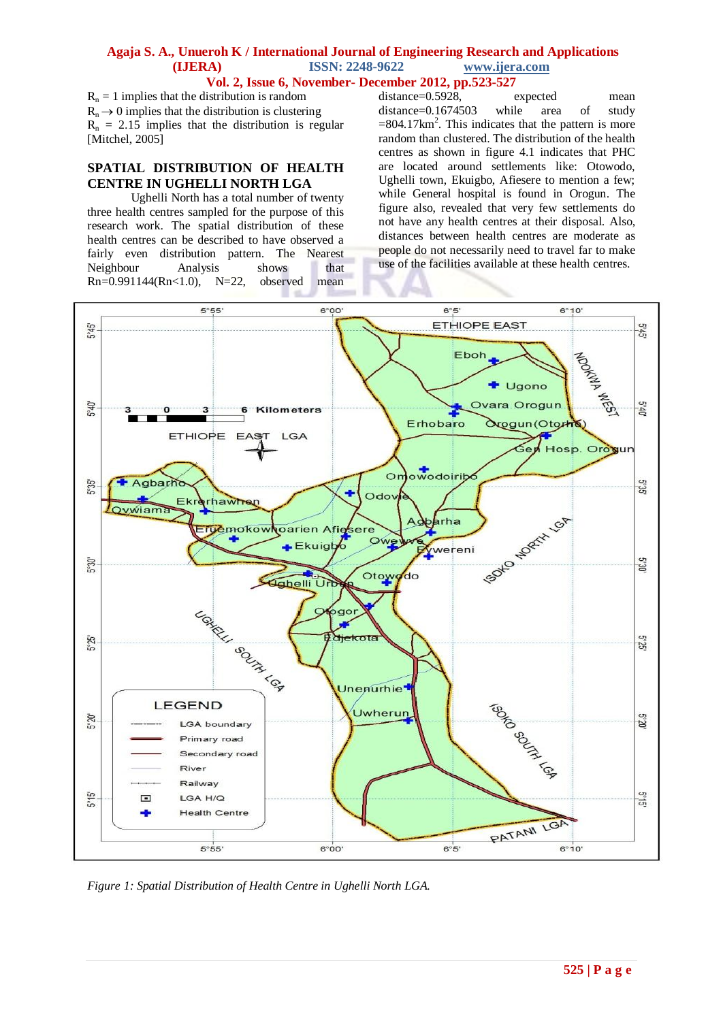#### **Agaja S. A., Unueroh K / International Journal of Engineering Research and Applications (IJERA) ISSN: 2248-9622 www.ijera.com Vol. 2, Issue 6, November- December 2012, pp.523-527**

 $R_n = 1$  implies that the distribution is random  $R_n \rightarrow 0$  implies that the distribution is clustering  $R_n = 2.15$  implies that the distribution is regular [Mitchel, 2005]

#### **SPATIAL DISTRIBUTION OF HEALTH CENTRE IN UGHELLI NORTH LGA**

Ughelli North has a total number of twenty three health centres sampled for the purpose of this research work. The spatial distribution of these health centres can be described to have observed a fairly even distribution pattern. The Nearest Neighbour Analysis shows that Rn=0.991144(Rn<1.0), N=22, observed mean

distance=0.5928, expected mean distance=0.1674503 while area of study  $=804.17 \text{km}^2$ . This indicates that the pattern is more random than clustered. The distribution of the health centres as shown in figure 4.1 indicates that PHC are located around settlements like: Otowodo, Ughelli town, Ekuigbo, Afiesere to mention a few; while General hospital is found in Orogun. The figure also, revealed that very few settlements do not have any health centres at their disposal. Also, distances between health centres are moderate as people do not necessarily need to travel far to make use of the facilities available at these health centres.



*Figure 1: Spatial Distribution of Health Centre in Ughelli North LGA.*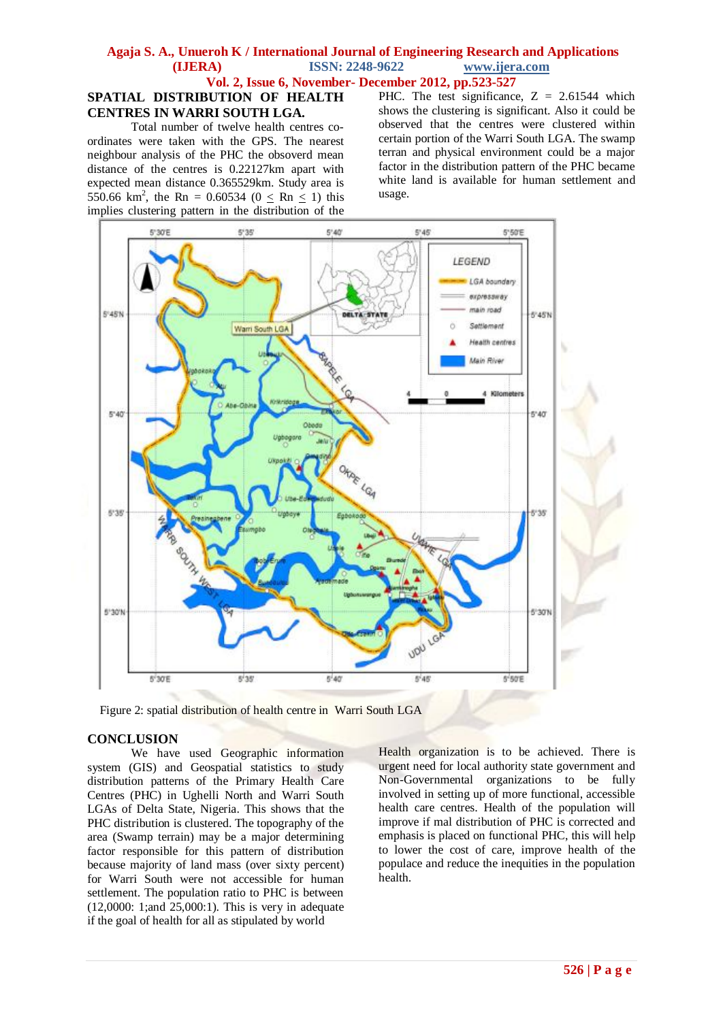#### **Agaja S. A., Unueroh K / International Journal of Engineering Research and Applications (IJERA) ISSN: 2248-9622 www.ijera.com Vol. 2, Issue 6, November- December 2012, pp.523-527**

### **SPATIAL DISTRIBUTION OF HEALTH CENTRES IN WARRI SOUTH LGA.**

Total number of twelve health centres coordinates were taken with the GPS. The nearest neighbour analysis of the PHC the obsoverd mean distance of the centres is 0.22127km apart with expected mean distance 0.365529km. Study area is 550.66 km<sup>2</sup>, the Rn = 0.60534 (0  $\le$  Rn  $\le$  1) this implies clustering pattern in the distribution of the

PHC. The test significance,  $Z = 2.61544$  which shows the clustering is significant. Also it could be observed that the centres were clustered within certain portion of the Warri South LGA. The swamp terran and physical environment could be a major factor in the distribution pattern of the PHC became white land is available for human settlement and usage.



Figure 2: spatial distribution of health centre in Warri South LGA

#### **CONCLUSION**

We have used Geographic information system (GIS) and Geospatial statistics to study distribution patterns of the Primary Health Care Centres (PHC) in Ughelli North and Warri South LGAs of Delta State, Nigeria. This shows that the PHC distribution is clustered. The topography of the area (Swamp terrain) may be a major determining factor responsible for this pattern of distribution because majority of land mass (over sixty percent) for Warri South were not accessible for human settlement. The population ratio to PHC is between (12,0000: 1;and 25,000:1). This is very in adequate if the goal of health for all as stipulated by world

Health organization is to be achieved. There is urgent need for local authority state government and Non-Governmental organizations to be fully involved in setting up of more functional, accessible health care centres. Health of the population will improve if mal distribution of PHC is corrected and emphasis is placed on functional PHC, this will help to lower the cost of care, improve health of the populace and reduce the inequities in the population health.